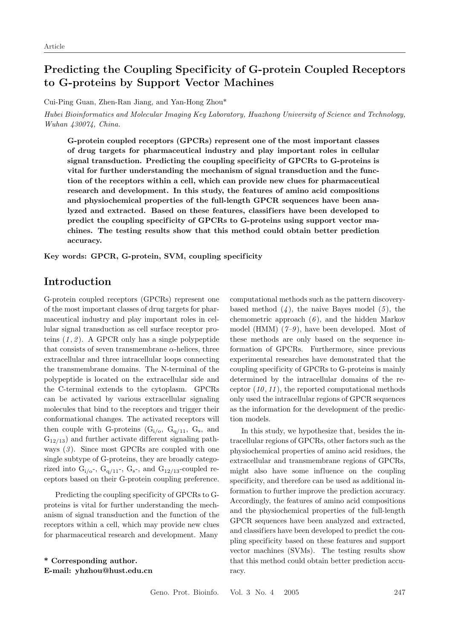# Predicting the Coupling Specificity of G-protein Coupled Receptors to G-proteins by Support Vector Machines

Cui-Ping Guan, Zhen-Ran Jiang, and Yan-Hong Zhou\*

Hubei Bioinformatics and Molecular Imaging Key Laboratory, Huazhong University of Science and Technology, Wuhan 430074, China.

G-protein coupled receptors (GPCRs) represent one of the most important classes of drug targets for pharmaceutical industry and play important roles in cellular signal transduction. Predicting the coupling specif icity of GPCRs to G-proteins is vital for further understanding the mechanism of signal transduction and the function of the receptors within a cell, which can provide new clues for pharmaceutical research and development. In this study, the features of amino acid compositions and physiochemical properties of the full-length GPCR sequences have been analyzed and extracted. Based on these features, classifiers have been developed to predict the coupling specif icity of GPCRs to G-proteins using support vector machines. The testing results show that this method could obtain better prediction accuracy.

Key words: GPCR, G-protein, SVM, coupling specificity

## Introduction

G-protein coupled receptors (GPCRs) represent one of the most important classes of drug targets for pharmaceutical industry and play important roles in cellular signal transduction as cell surface receptor proteins  $(1, 2)$ . A GPCR only has a single polypeptide that consists of seven transmembrane  $\alpha$ -helices, three extracellular and three intracellular loops connecting the transmembrane domains. The N-terminal of the polypeptide is located on the extracellular side and the C-terminal extends to the cytoplasm. GPCRs can be activated by various extracellular signaling molecules that bind to the receptors and trigger their conformational changes. The activated receptors will then couple with G-proteins  $(G_{i/o}, G_{q/11}, G_s, \text{and})$  $G_{12/13}$ ) and further activate different signaling pathways  $(3)$ . Since most GPCRs are coupled with one single subtype of G-proteins, they are broadly categorized into  $G_{i/\sigma}$ ,  $G_{q/11}$ ,  $G_{s}$ , and  $G_{12/13}$ -coupled receptors based on their G-protein coupling preference.

Predicting the coupling specificity of GPCRs to Gproteins is vital for further understanding the mechanism of signal transduction and the function of the receptors within a cell, which may provide new clues for pharmaceutical research and development. Many

\* Corresponding author. E-mail: yhzhou@hust.edu.cn computational methods such as the pattern discoverybased method  $(4)$ , the naive Bayes model  $(5)$ , the chemometric approach  $(6)$ , and the hidden Markov model (HMM)  $(7-9)$ , have been developed. Most of these methods are only based on the sequence information of GPCRs. Furthermore, since previous experimental researches have demonstrated that the coupling specificity of GPCRs to G-proteins is mainly determined by the intracellular domains of the receptor  $(10, 11)$ , the reported computational methods only used the intracellular regions of GPCR sequences as the information for the development of the prediction models.

In this study, we hypothesize that, besides the intracellular regions of GPCRs, other factors such as the physiochemical properties of amino acid residues, the extracellular and transmembrane regions of GPCRs, might also have some influence on the coupling specificity, and therefore can be used as additional information to further improve the prediction accuracy. Accordingly, the features of amino acid compositions and the physiochemical properties of the full-length GPCR sequences have been analyzed and extracted, and classifiers have been developed to predict the coupling specificity based on these features and support vector machines (SVMs). The testing results show that this method could obtain better prediction accuracy.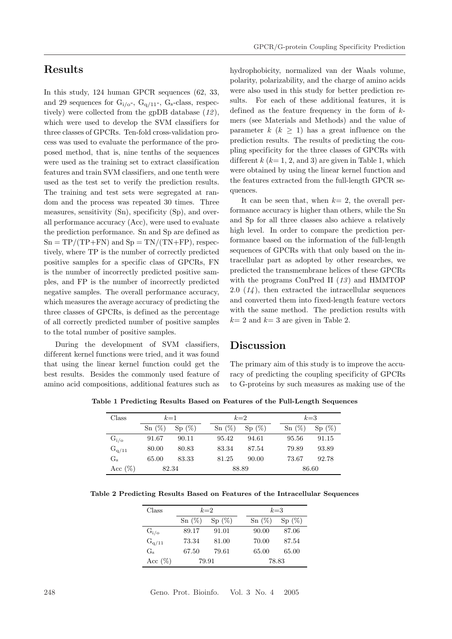## Results

In this study, 124 human GPCR sequences (62, 33, and 29 sequences for  $G_{i/o}$ ,  $G_{q/11}$ ,  $G_s$ -class, respectively) were collected from the gpDB database  $(12)$ , which were used to develop the SVM classifiers for three classes of GPCRs. Ten-fold cross-validation process was used to evaluate the performance of the proposed method, that is, nine tenths of the sequences were used as the training set to extract classification features and train SVM classifiers, and one tenth were used as the test set to verify the prediction results. The training and test sets were segregated at random and the process was repeated 30 times. Three measures, sensitivity (Sn), specificity (Sp), and overall performance accuracy (Acc), were used to evaluate the prediction performance. Sn and Sp are defined as  $Sn = TP/(TP + FN)$  and  $Sp = TN/(TN + FP)$ , respectively, where TP is the number of correctly predicted positive samples for a specific class of GPCRs, FN is the number of incorrectly predicted positive samples, and FP is the number of incorrectly predicted negative samples. The overall performance accuracy, which measures the average accuracy of predicting the three classes of GPCRs, is defined as the percentage of all correctly predicted number of positive samples to the total number of positive samples.

During the development of SVM classifiers, different kernel functions were tried, and it was found that using the linear kernel function could get the best results. Besides the commonly used feature of amino acid compositions, additional features such as hydrophobicity, normalized van der Waals volume, polarity, polarizability, and the charge of amino acids were also used in this study for better prediction results. For each of these additional features, it is defined as the feature frequency in the form of  $k$ mers (see Materials and Methods) and the value of parameter  $k$   $(k \geq 1)$  has a great influence on the prediction results. The results of predicting the coupling specificity for the three classes of GPCRs with different  $k$  ( $k=1, 2,$  and 3) are given in Table 1, which were obtained by using the linear kernel function and the features extracted from the full-length GPCR sequences.

It can be seen that, when  $k=2$ , the overall performance accuracy is higher than others, while the Sn and Sp for all three classes also achieve a relatively high level. In order to compare the prediction performance based on the information of the full-length sequences of GPCRs with that only based on the intracellular part as adopted by other researches, we predicted the transmembrane helices of these GPCRs with the programs ConPred II  $(13)$  and HMMTOP 2.0  $(14)$ , then extracted the intracellular sequences and converted them into fixed-length feature vectors with the same method. The prediction results with  $k= 2$  and  $k= 3$  are given in Table 2.

### Discussion

The primary aim of this study is to improve the accuracy of predicting the coupling specificity of GPCRs to G-proteins by such measures as making use of the

Table 1 Predicting Results Based on Features of the Full-Length Sequences

| Class       | $k=1$    |       | $k=2$    |       |  | $k=3$    |       |  |
|-------------|----------|-------|----------|-------|--|----------|-------|--|
|             | $Sn(\%)$ | Sp(%) | $Sn(\%)$ | Sp(%) |  | $Sn(\%)$ | Sp(%) |  |
| $G_{i/o}$   | 91.67    | 90.11 | 95.42    | 94.61 |  | 95.56    | 91.15 |  |
| $G_{q/11}$  | 80.00    | 80.83 | 83.34    | 87.54 |  | 79.89    | 93.89 |  |
| $G_{\rm s}$ | 65.00    | 83.33 | 81.25    | 90.00 |  | 73.67    | 92.78 |  |
| Acc $(\%)$  | 82.34    |       | 88.89    |       |  | 86.60    |       |  |

| Table 2 Predicting Results Based on Features of the Intracellular Sequences |  |  |  |  |  |  |  |  |  |
|-----------------------------------------------------------------------------|--|--|--|--|--|--|--|--|--|
|-----------------------------------------------------------------------------|--|--|--|--|--|--|--|--|--|

| Class      | $k=2$    |       |  | $k=3$    |       |  |  |
|------------|----------|-------|--|----------|-------|--|--|
|            | $Sn(\%)$ | Sp(%) |  | $Sn(\%)$ | Sp(%) |  |  |
| $G_{i/o}$  | 89.17    | 91.01 |  | 90.00    | 87.06 |  |  |
| $G_{q/11}$ | 73.34    | 81.00 |  | 70.00    | 87.54 |  |  |
| $G_{s}$    | 67.50    | 79.61 |  | 65.00    | 65.00 |  |  |
| Acc $(\%)$ | 79.91    |       |  | 78.83    |       |  |  |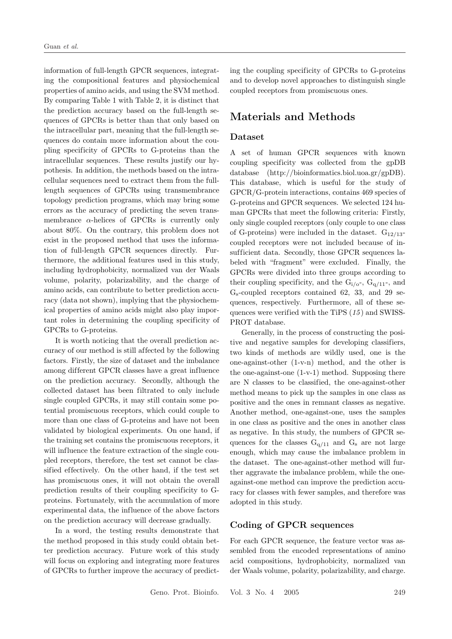information of full-length GPCR sequences, integrating the compositional features and physiochemical properties of amino acids, and using the SVM method. By comparing Table 1 with Table 2, it is distinct that the prediction accuracy based on the full-length sequences of GPCRs is better than that only based on the intracellular part, meaning that the full-length sequences do contain more information about the coupling specificity of GPCRs to G-proteins than the intracellular sequences. These results justify our hypothesis. In addition, the methods based on the intracellular sequences need to extract them from the fulllength sequences of GPCRs using transmembrance topology prediction programs, which may bring some errors as the accuracy of predicting the seven transmembrance  $\alpha$ -helices of GPCRs is currently only about 80%. On the contrary, this problem does not exist in the proposed method that uses the information of full-length GPCR sequences directly. Furthermore, the additional features used in this study, including hydrophobicity, normalized van der Waals volume, polarity, polarizability, and the charge of amino acids, can contribute to better prediction accuracy (data not shown), implying that the physiochemical properties of amino acids might also play important roles in determining the coupling specificity of GPCRs to G-proteins.

It is worth noticing that the overall prediction accuracy of our method is still affected by the following factors. Firstly, the size of dataset and the imbalance among dif ferent GPCR classes have a great influence on the prediction accuracy. Secondly, although the collected dataset has been filtrated to only include single coupled GPCRs, it may still contain some potential promiscuous receptors, which could couple to more than one class of G-proteins and have not been validated by biological experiments. On one hand, if the training set contains the promiscuous receptors, it will influence the feature extraction of the single coupled receptors, therefore, the test set cannot be classified effectively. On the other hand, if the test set has promiscuous ones, it will not obtain the overall prediction results of their coupling specificity to Gproteins. Fortunately, with the accumulation of more experimental data, the influence of the above factors on the prediction accuracy will decrease gradually.

In a word, the testing results demonstrate that the method proposed in this study could obtain better prediction accuracy. Future work of this study will focus on exploring and integrating more features of GPCRs to further improve the accuracy of predicting the coupling specificity of GPCRs to G-proteins and to develop novel approaches to distinguish single coupled receptors from promiscuous ones.

## Materials and Methods

#### Dataset

A set of human GPCR sequences with known coupling specificity was collected from the gpDB database (http://bioinformatics.biol.uoa.gr/gpDB). This database, which is useful for the study of GPCR/G-protein interactions, contains 469 species of G-proteins and GPCR sequences. We selected 124 human GPCRs that meet the following criteria: Firstly, only single coupled receptors (only couple to one class of G-proteins) were included in the dataset.  $G_{12/13}$ coupled receptors were not included because of insufficient data. Secondly, those GPCR sequences labeled with "fragment" were excluded. Finally, the GPCRs were divided into three groups according to their coupling specificity, and the  $G_{i/\sigma}$ ,  $G_{q/11}$ , and Gs-coupled receptors contained 62, 33, and 29 sequences, respectively. Furthermore, all of these sequences were verified with the TiPS (15) and SWISS-PROT database.

Generally, in the process of constructing the positive and negative samples for developing classifiers, two kinds of methods are wildly used, one is the one-against-other (1-v-n) method, and the other is the one-against-one (1-v-1) method. Supposing there are N classes to be classified, the one-against-other method means to pick up the samples in one class as positive and the ones in remnant classes as negative. Another method, one-against-one, uses the samples in one class as positive and the ones in another class as negative. In this study, the numbers of GPCR sequences for the classes  $G_{q/11}$  and  $G_s$  are not large enough, which may cause the imbalance problem in the dataset. The one-against-other method will further aggravate the imbalance problem, while the oneagainst-one method can improve the prediction accuracy for classes with fewer samples, and therefore was adopted in this study.

### Coding of GPCR sequences

For each GPCR sequence, the feature vector was assembled from the encoded representations of amino acid compositions, hydrophobicity, normalized van der Waals volume, polarity, polarizability, and charge.

Geno. Prot. Bioinfo. Vol. 3 No. 4 2005 249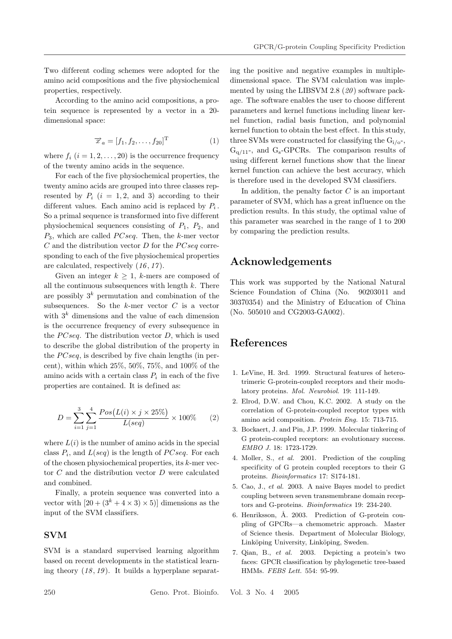Two different coding schemes were adopted for the amino acid compositions and the five physiochemical properties, respectively.

According to the amino acid compositions, a protein sequence is represented by a vector in a 20 dimensional space:

$$
\overrightarrow{x}_a = [f_1, f_2, \dots, f_{20}]^{\mathrm{T}} \tag{1}
$$

where  $f_i$   $(i = 1, 2, \ldots, 20)$  is the occurrence frequency of the twenty amino acids in the sequence.

For each of the five physiochemical properties, the twenty amino acids are grouped into three classes represented by  $P_i$  ( $i = 1, 2$ , and 3) according to their different values. Each amino acid is replaced by  $P_i$ . So a primal sequence is transformed into five dif ferent physiochemical sequences consisting of  $P_1$ ,  $P_2$ , and  $P_3$ , which are called  $PCseq$ . Then, the k-mer vector  $C$  and the distribution vector  $D$  for the  $PCseq$  corresponding to each of the five physiochemical properties are calculated, respectively (16 , 17 ).

Given an integer  $k \geq 1$ , k-mers are composed of all the continuous subsequences with length  $k$ . There are possibly  $3^k$  permutation and combination of the subsequences. So the  $k$ -mer vector  $C$  is a vector with  $3<sup>k</sup>$  dimensions and the value of each dimension is the occurrence frequency of every subsequence in the  $PCseq$ . The distribution vector  $D$ , which is used to describe the global distribution of the property in the  $PCseq$ , is described by five chain lengths (in percent), within which 25%, 50%, 75%, and 100% of the amino acids with a certain class  $P_i$  in each of the five properties are contained. It is defined as:

$$
D = \sum_{i=1}^{3} \sum_{j=1}^{4} \frac{Pos(L(i) \times j \times 25\%)}{L(seq)} \times 100\% \tag{2}
$$

where  $L(i)$  is the number of amino acids in the special class  $P_i$ , and  $L(seq)$  is the length of  $PCseq$ . For each of the chosen physiochemical properties, its k-mer vector  $C$  and the distribution vector  $D$  were calculated and combined.

Finally, a protein sequence was converted into a vector with  $[20 + (3<sup>k</sup> + 4 \times 3) \times 5]$  dimensions as the input of the SVM classifiers.

### SVM

SVM is a standard supervised learning algorithm based on recent developments in the statistical learning theory  $(18, 19)$ . It builds a hyperplane separating the positive and negative examples in multipledimensional space. The SVM calculation was implemented by using the LIBSVM  $2.8$  ( $20$ ) software package. The software enables the user to choose different parameters and kernel functions including linear kernel function, radial basis function, and polynomial kernel function to obtain the best ef fect. In this study, three SVMs were constructed for classifying the  $G_i/_{0}$ - $G_{q/11}$ -, and  $G_s$ -GPCRs. The comparison results of using dif ferent kernel functions show that the linear kernel function can achieve the best accuracy, which is therefore used in the developed SVM classifiers.

In addition, the penalty factor  $C$  is an important parameter of SVM, which has a great influence on the prediction results. In this study, the optimal value of this parameter was searched in the range of 1 to 200 by comparing the prediction results.

## Acknowledgements

This work was supported by the National Natural Science Foundation of China (No. 90203011 and 30370354) and the Ministry of Education of China (No. 505010 and CG2003-GA002).

# References

- 1. LeVine, H. 3rd. 1999. Structural features of heterotrimeric G-protein-coupled receptors and their modulatory proteins. Mol. Neurobiol. 19: 111-149.
- 2. Elrod, D.W. and Chou, K.C. 2002. A study on the correlation of G-protein-coupled receptor types with amino acid composition. Protein Eng. 15: 713-715.
- 3. Bockaert, J. and Pin, J.P. 1999. Molecular tinkering of G protein-coupled receptors: an evolutionary success. EMBO J. 18: 1723-1729.
- 4. Moller, S., et al. 2001. Prediction of the coupling specificity of G protein coupled receptors to their G proteins. Bioinformatics 17: S174-181.
- 5. Cao, J., et al. 2003. A naive Bayes model to predict coupling between seven transmembrane domain receptors and G-proteins. Bioinformatics 19: 234-240.
- 6. Henriksson, Å. 2003. Prediction of G-protein coupling of GPCRs—a chemometric approach. Master of Science thesis. Department of Molecular Biology, Linköping University, Linköping, Sweden.
- 7. Qian, B., et al. 2003. Depicting a protein's two faces: GPCR classification by phylogenetic tree-based HMMs. FEBS Lett. 554: 95-99.